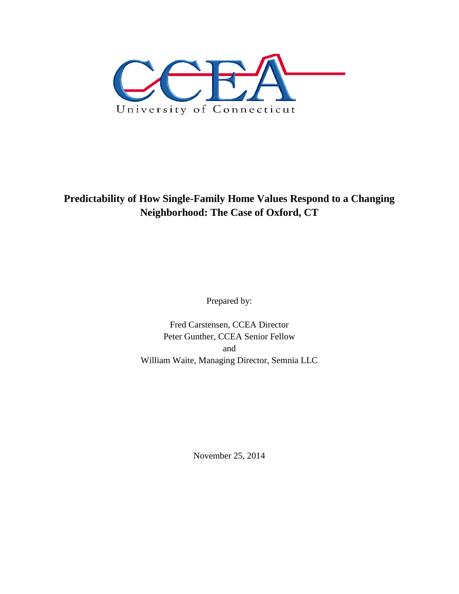

**Predictability of How Single-Family Home Values Respond to a Changing Neighborhood: The Case of Oxford, CT**

Prepared by:

Fred Carstensen, CCEA Director Peter Gunther, CCEA Senior Fellow and William Waite, Managing Director, Semnia LLC

November 25, 2014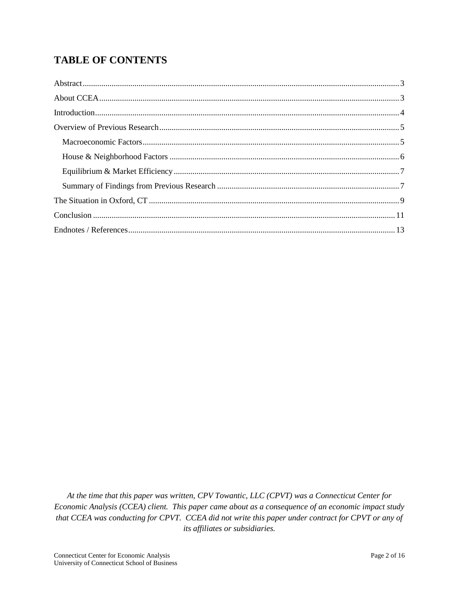# **TABLE OF CONTENTS**

At the time that this paper was written, CPV Towantic, LLC (CPVT) was a Connecticut Center for Economic Analysis (CCEA) client. This paper came about as a consequence of an economic impact study that CCEA was conducting for CPVT. CCEA did not write this paper under contract for CPVT or any of its affiliates or subsidiaries.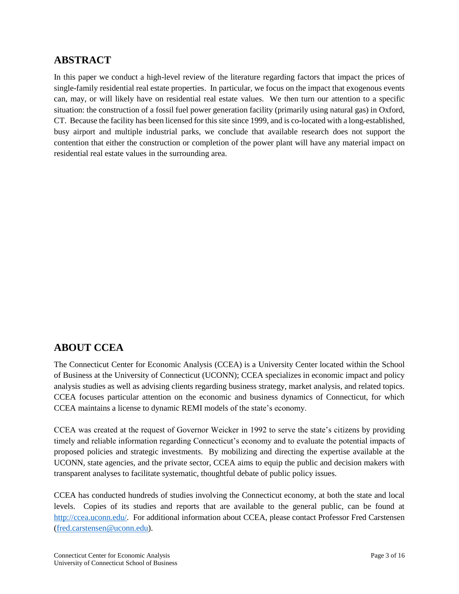### <span id="page-2-0"></span>**ABSTRACT**

In this paper we conduct a high-level review of the literature regarding factors that impact the prices of single-family residential real estate properties. In particular, we focus on the impact that exogenous events can, may, or will likely have on residential real estate values. We then turn our attention to a specific situation: the construction of a fossil fuel power generation facility (primarily using natural gas) in Oxford, CT. Because the facility has been licensed for this site since 1999, and is co-located with a long-established, busy airport and multiple industrial parks, we conclude that available research does not support the contention that either the construction or completion of the power plant will have any material impact on residential real estate values in the surrounding area.

### <span id="page-2-1"></span>**ABOUT CCEA**

The Connecticut Center for Economic Analysis (CCEA) is a University Center located within the School of Business at the University of Connecticut (UCONN); CCEA specializes in economic impact and policy analysis studies as well as advising clients regarding business strategy, market analysis, and related topics. CCEA focuses particular attention on the economic and business dynamics of Connecticut, for which CCEA maintains a license to dynamic REMI models of the state's economy.

CCEA was created at the request of Governor Weicker in 1992 to serve the state's citizens by providing timely and reliable information regarding Connecticut's economy and to evaluate the potential impacts of proposed policies and strategic investments. By mobilizing and directing the expertise available at the UCONN, state agencies, and the private sector, CCEA aims to equip the public and decision makers with transparent analyses to facilitate systematic, thoughtful debate of public policy issues.

CCEA has conducted hundreds of studies involving the Connecticut economy, at both the state and local levels. Copies of its studies and reports that are available to the general public, can be found at [http://ccea.uconn.edu/.](http://ccea.uconn.edu/) For additional information about CCEA, please contact Professor Fred Carstensen [\(fred.carstensen@uconn.edu\)](mailto:fred.carstensen@uconn.edu).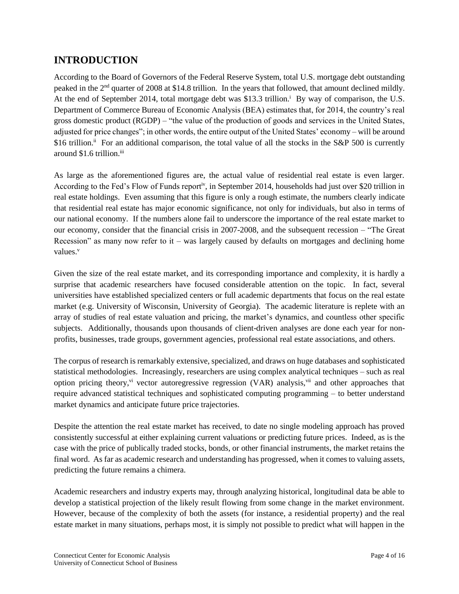## <span id="page-3-0"></span>**INTRODUCTION**

According to the Board of Governors of the Federal Reserve System, total U.S. mortgage debt outstanding peaked in the 2nd quarter of 2008 at \$14.8 trillion. In the years that followed, that amount declined mildly. At the end of September 2014, total mortgage debt was \$13.3 trillion.<sup>i</sup> By way of comparison, the U.S. Department of Commerce Bureau of Economic Analysis (BEA) estimates that, for 2014, the country's real gross domestic product (RGDP) – "the value of the production of goods and services in the United States, adjusted for price changes"; in other words, the entire output of the United States' economy – will be around \$16 trillion.<sup>ii</sup> For an additional comparison, the total value of all the stocks in the S&P 500 is currently around \$1.6 trillion.<sup>iii</sup>

As large as the aforementioned figures are, the actual value of residential real estate is even larger. According to the Fed's Flow of Funds reportiv, in September 2014, households had just over \$20 trillion in real estate holdings. Even assuming that this figure is only a rough estimate, the numbers clearly indicate that residential real estate has major economic significance, not only for individuals, but also in terms of our national economy. If the numbers alone fail to underscore the importance of the real estate market to our economy, consider that the financial crisis in 2007-2008, and the subsequent recession – "The Great Recession" as many now refer to it – was largely caused by defaults on mortgages and declining home values.<sup>v</sup>

Given the size of the real estate market, and its corresponding importance and complexity, it is hardly a surprise that academic researchers have focused considerable attention on the topic. In fact, several universities have established specialized centers or full academic departments that focus on the real estate market (e.g. University of Wisconsin, University of Georgia). The academic literature is replete with an array of studies of real estate valuation and pricing, the market's dynamics, and countless other specific subjects. Additionally, thousands upon thousands of client-driven analyses are done each year for nonprofits, businesses, trade groups, government agencies, professional real estate associations, and others.

The corpus of research is remarkably extensive, specialized, and draws on huge databases and sophisticated statistical methodologies. Increasingly, researchers are using complex analytical techniques – such as real option pricing theory,<sup>vi</sup> vector autoregressive regression (VAR) analysis,<sup>vii</sup> and other approaches that require advanced statistical techniques and sophisticated computing programming – to better understand market dynamics and anticipate future price trajectories.

Despite the attention the real estate market has received, to date no single modeling approach has proved consistently successful at either explaining current valuations or predicting future prices. Indeed, as is the case with the price of publically traded stocks, bonds, or other financial instruments, the market retains the final word. As far as academic research and understanding has progressed, when it comes to valuing assets, predicting the future remains a chimera.

Academic researchers and industry experts may, through analyzing historical, longitudinal data be able to develop a statistical projection of the likely result flowing from some change in the market environment. However, because of the complexity of both the assets (for instance, a residential property) and the real estate market in many situations, perhaps most, it is simply not possible to predict what will happen in the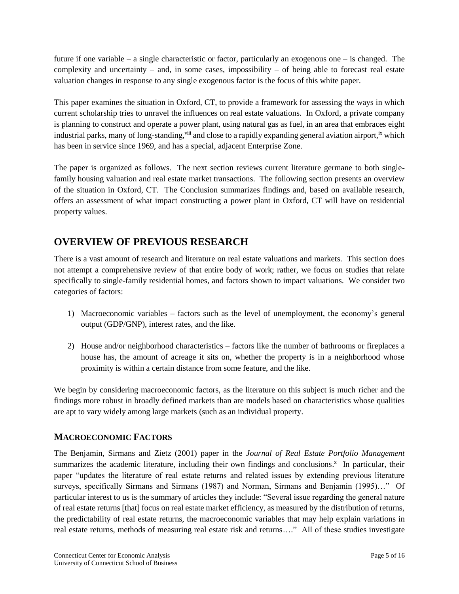future if one variable – a single characteristic or factor, particularly an exogenous one – is changed. The complexity and uncertainty – and, in some cases, impossibility – of being able to forecast real estate valuation changes in response to any single exogenous factor is the focus of this white paper.

This paper examines the situation in Oxford, CT, to provide a framework for assessing the ways in which current scholarship tries to unravel the influences on real estate valuations. In Oxford, a private company is planning to construct and operate a power plant, using natural gas as fuel, in an area that embraces eight industrial parks, many of long-standing, viii and close to a rapidly expanding general aviation airport, ix which has been in service since 1969, and has a special, adjacent Enterprise Zone.

The paper is organized as follows. The next section reviews current literature germane to both singlefamily housing valuation and real estate market transactions. The following section presents an overview of the situation in Oxford, CT. The Conclusion summarizes findings and, based on available research, offers an assessment of what impact constructing a power plant in Oxford, CT will have on residential property values.

## <span id="page-4-0"></span>**OVERVIEW OF PREVIOUS RESEARCH**

There is a vast amount of research and literature on real estate valuations and markets. This section does not attempt a comprehensive review of that entire body of work; rather, we focus on studies that relate specifically to single-family residential homes, and factors shown to impact valuations. We consider two categories of factors:

- 1) Macroeconomic variables factors such as the level of unemployment, the economy's general output (GDP/GNP), interest rates, and the like.
- 2) House and/or neighborhood characteristics factors like the number of bathrooms or fireplaces a house has, the amount of acreage it sits on, whether the property is in a neighborhood whose proximity is within a certain distance from some feature, and the like.

We begin by considering macroeconomic factors, as the literature on this subject is much richer and the findings more robust in broadly defined markets than are models based on characteristics whose qualities are apt to vary widely among large markets (such as an individual property.

#### <span id="page-4-1"></span>**MACROECONOMIC FACTORS**

The Benjamin, Sirmans and Zietz (2001) paper in the *Journal of Real Estate Portfolio Management* summarizes the academic literature, including their own findings and conclusions.<sup>x</sup> In particular, their paper "updates the literature of real estate returns and related issues by extending previous literature surveys, specifically Sirmans and Sirmans (1987) and Norman, Sirmans and Benjamin (1995)…" Of particular interest to us is the summary of articles they include: "Several issue regarding the general nature of real estate returns [that] focus on real estate market efficiency, as measured by the distribution of returns, the predictability of real estate returns, the macroeconomic variables that may help explain variations in real estate returns, methods of measuring real estate risk and returns…." All of these studies investigate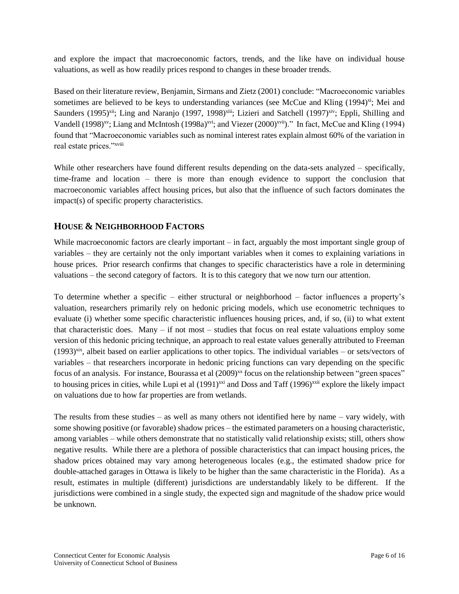and explore the impact that macroeconomic factors, trends, and the like have on individual house valuations, as well as how readily prices respond to changes in these broader trends.

Based on their literature review, Benjamin, Sirmans and Zietz (2001) conclude: "Macroeconomic variables sometimes are believed to be keys to understanding variances (see McCue and Kling (1994)<sup>xi</sup>; Mei and Saunders (1995)<sup>xii</sup>; Ling and Naranjo (1997, 1998)<sup>xiii</sup>; Lizieri and Satchell (1997)<sup>xiv</sup>; Eppli, Shilling and Vandell (1998)<sup>xv</sup>; Liang and McIntosh (1998a)<sup>xvi</sup>; and Viezer (2000)<sup>xvii</sup>)." In fact, McCue and Kling (1994) found that "Macroeconomic variables such as nominal interest rates explain almost 60% of the variation in real estate prices."xviii

While other researchers have found different results depending on the data-sets analyzed – specifically, time-frame and location – there is more than enough evidence to support the conclusion that macroeconomic variables affect housing prices, but also that the influence of such factors dominates the impact(s) of specific property characteristics.

#### <span id="page-5-0"></span>**HOUSE & NEIGHBORHOOD FACTORS**

While macroeconomic factors are clearly important – in fact, arguably the most important single group of variables – they are certainly not the only important variables when it comes to explaining variations in house prices. Prior research confirms that changes to specific characteristics have a role in determining valuations – the second category of factors. It is to this category that we now turn our attention.

To determine whether a specific – either structural or neighborhood – factor influences a property's valuation, researchers primarily rely on hedonic pricing models, which use econometric techniques to evaluate (i) whether some specific characteristic influences housing prices, and, if so, (ii) to what extent that characteristic does. Many – if not most – studies that focus on real estate valuations employ some version of this hedonic pricing technique, an approach to real estate values generally attributed to Freeman  $(1993)^{xix}$ , albeit based on earlier applications to other topics. The individual variables – or sets/vectors of variables – that researchers incorporate in hedonic pricing functions can vary depending on the specific focus of an analysis. For instance, Bourassa et al  $(2009)^{xx}$  focus on the relationship between "green spaces" to housing prices in cities, while Lupi et al (1991)<sup>xxi</sup> and Doss and Taff (1996)<sup>xxii</sup> explore the likely impact on valuations due to how far properties are from wetlands.

The results from these studies – as well as many others not identified here by name – vary widely, with some showing positive (or favorable) shadow prices – the estimated parameters on a housing characteristic, among variables – while others demonstrate that no statistically valid relationship exists; still, others show negative results. While there are a plethora of possible characteristics that can impact housing prices, the shadow prices obtained may vary among heterogeneous locales (e.g., the estimated shadow price for double-attached garages in Ottawa is likely to be higher than the same characteristic in the Florida). As a result, estimates in multiple (different) jurisdictions are understandably likely to be different. If the jurisdictions were combined in a single study, the expected sign and magnitude of the shadow price would be unknown.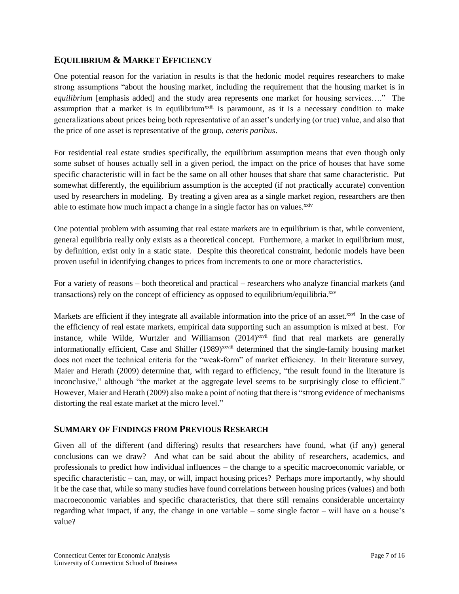#### <span id="page-6-0"></span>**EQUILIBRIUM & MARKET EFFICIENCY**

One potential reason for the variation in results is that the hedonic model requires researchers to make strong assumptions "about the housing market, including the requirement that the housing market is in *equilibrium* [emphasis added] and the study area represents one market for housing services…." The assumption that a market is in equilibrium<sup>xxiii</sup> is paramount, as it is a necessary condition to make generalizations about prices being both representative of an asset's underlying (or true) value, and also that the price of one asset is representative of the group, *ceteris paribus*.

For residential real estate studies specifically, the equilibrium assumption means that even though only some subset of houses actually sell in a given period, the impact on the price of houses that have some specific characteristic will in fact be the same on all other houses that share that same characteristic. Put somewhat differently, the equilibrium assumption is the accepted (if not practically accurate) convention used by researchers in modeling. By treating a given area as a single market region, researchers are then able to estimate how much impact a change in a single factor has on values.<sup>xxiv</sup>

One potential problem with assuming that real estate markets are in equilibrium is that, while convenient, general equilibria really only exists as a theoretical concept. Furthermore, a market in equilibrium must, by definition, exist only in a static state. Despite this theoretical constraint, hedonic models have been proven useful in identifying changes to prices from increments to one or more characteristics.

For a variety of reasons – both theoretical and practical – researchers who analyze financial markets (and transactions) rely on the concept of efficiency as opposed to equilibrium/equilibria.xxv

Markets are efficient if they integrate all available information into the price of an asset.<sup>xxvi</sup> In the case of the efficiency of real estate markets, empirical data supporting such an assumption is mixed at best. For instance, while Wilde, Wurtzler and Williamson  $(2014)$ <sup>xxvii</sup> find that real markets are generally informationally efficient, Case and Shiller (1989)<sup>xxviii</sup> determined that the single-family housing market does not meet the technical criteria for the "weak-form" of market efficiency. In their literature survey, Maier and Herath (2009) determine that, with regard to efficiency, "the result found in the literature is inconclusive," although "the market at the aggregate level seems to be surprisingly close to efficient." However, Maier and Herath (2009) also make a point of noting that there is "strong evidence of mechanisms distorting the real estate market at the micro level."

#### <span id="page-6-1"></span>**SUMMARY OF FINDINGS FROM PREVIOUS RESEARCH**

Given all of the different (and differing) results that researchers have found, what (if any) general conclusions can we draw? And what can be said about the ability of researchers, academics, and professionals to predict how individual influences – the change to a specific macroeconomic variable, or specific characteristic – can, may, or will, impact housing prices? Perhaps more importantly, why should it be the case that, while so many studies have found correlations between housing prices (values) and both macroeconomic variables and specific characteristics, that there still remains considerable uncertainty regarding what impact, if any, the change in one variable – some single factor – will have on a house's value?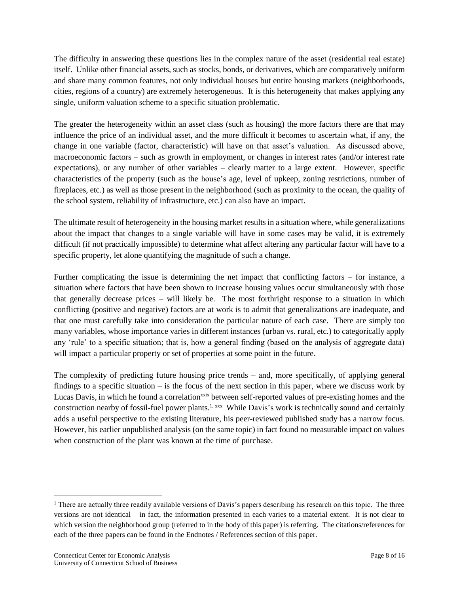The difficulty in answering these questions lies in the complex nature of the asset (residential real estate) itself. Unlike other financial assets, such as stocks, bonds, or derivatives, which are comparatively uniform and share many common features, not only individual houses but entire housing markets (neighborhoods, cities, regions of a country) are extremely heterogeneous. It is this heterogeneity that makes applying any single, uniform valuation scheme to a specific situation problematic.

The greater the heterogeneity within an asset class (such as housing) the more factors there are that may influence the price of an individual asset, and the more difficult it becomes to ascertain what, if any, the change in one variable (factor, characteristic) will have on that asset's valuation. As discussed above, macroeconomic factors – such as growth in employment, or changes in interest rates (and/or interest rate expectations), or any number of other variables – clearly matter to a large extent. However, specific characteristics of the property (such as the house's age, level of upkeep, zoning restrictions, number of fireplaces, etc.) as well as those present in the neighborhood (such as proximity to the ocean, the quality of the school system, reliability of infrastructure, etc.) can also have an impact.

The ultimate result of heterogeneity in the housing market results in a situation where, while generalizations about the impact that changes to a single variable will have in some cases may be valid, it is extremely difficult (if not practically impossible) to determine what affect altering any particular factor will have to a specific property, let alone quantifying the magnitude of such a change.

Further complicating the issue is determining the net impact that conflicting factors – for instance, a situation where factors that have been shown to increase housing values occur simultaneously with those that generally decrease prices – will likely be. The most forthright response to a situation in which conflicting (positive and negative) factors are at work is to admit that generalizations are inadequate, and that one must carefully take into consideration the particular nature of each case. There are simply too many variables, whose importance varies in different instances (urban vs. rural, etc.) to categorically apply any 'rule' to a specific situation; that is, how a general finding (based on the analysis of aggregate data) will impact a particular property or set of properties at some point in the future.

The complexity of predicting future housing price trends – and, more specifically, of applying general findings to a specific situation – is the focus of the next section in this paper, where we discuss work by Lucas Davis, in which he found a correlation<sup>xxix</sup> between self-reported values of pre-existing homes and the construction nearby of fossil-fuel power plants.<sup>1, xxx</sup> While Davis's work is technically sound and certainly adds a useful perspective to the existing literature, his peer-reviewed published study has a narrow focus. However, his earlier unpublished analysis (on the same topic) in fact found no measurable impact on values when construction of the plant was known at the time of purchase.

l

<sup>&</sup>lt;sup>1</sup> There are actually three readily available versions of Davis's papers describing his research on this topic. The three versions are not identical – in fact, the information presented in each varies to a material extent. It is not clear to which version the neighborhood group (referred to in the body of this paper) is referring. The citations/references for each of the three papers can be found in the Endnotes / References section of this paper.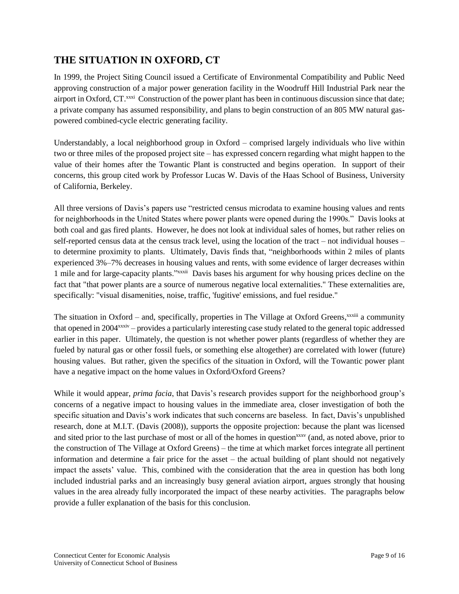### <span id="page-8-0"></span>**THE SITUATION IN OXFORD, CT**

In 1999, the Project Siting Council issued a Certificate of Environmental Compatibility and Public Need approving construction of a major power generation facility in the Woodruff Hill Industrial Park near the airport in Oxford, CT.<sup>xxxi</sup> Construction of the power plant has been in continuous discussion since that date; a private company has assumed responsibility, and plans to begin construction of an 805 MW natural gaspowered combined-cycle electric generating facility.

Understandably, a local neighborhood group in Oxford – comprised largely individuals who live within two or three miles of the proposed project site – has expressed concern regarding what might happen to the value of their homes after the Towantic Plant is constructed and begins operation. In support of their concerns, this group cited work by Professor Lucas W. Davis of the Haas School of Business, University of California, Berkeley.

All three versions of Davis's papers use "restricted census microdata to examine housing values and rents for neighborhoods in the United States where power plants were opened during the 1990s." Davis looks at both coal and gas fired plants. However, he does not look at individual sales of homes, but rather relies on self-reported census data at the census track level, using the location of the tract – not individual houses – to determine proximity to plants. Ultimately, Davis finds that, "neighborhoods within 2 miles of plants experienced 3%–7% decreases in housing values and rents, with some evidence of larger decreases within 1 mile and for large-capacity plants."<sup>xxxii</sup> Davis bases his argument for why housing prices decline on the fact that "that power plants are a source of numerous negative local externalities." These externalities are, specifically: "visual disamenities, noise, traffic, 'fugitive' emissions, and fuel residue."

The situation in Oxford – and, specifically, properties in The Village at Oxford Greens, xxxiii a community that opened in 2004xxxiv – provides a particularly interesting case study related to the general topic addressed earlier in this paper. Ultimately, the question is not whether power plants (regardless of whether they are fueled by natural gas or other fossil fuels, or something else altogether) are correlated with lower (future) housing values. But rather, given the specifics of the situation in Oxford, will the Towantic power plant have a negative impact on the home values in Oxford/Oxford Greens?

While it would appear, *prima facia*, that Davis's research provides support for the neighborhood group's concerns of a negative impact to housing values in the immediate area, closer investigation of both the specific situation and Davis's work indicates that such concerns are baseless. In fact, Davis's unpublished research, done at M.I.T. (Davis (2008)), supports the opposite projection: because the plant was licensed and sited prior to the last purchase of most or all of the homes in question<sup>xxxv</sup> (and, as noted above, prior to the construction of The Village at Oxford Greens) – the time at which market forces integrate all pertinent information and determine a fair price for the asset – the actual building of plant should not negatively impact the assets' value. This, combined with the consideration that the area in question has both long included industrial parks and an increasingly busy general aviation airport, argues strongly that housing values in the area already fully incorporated the impact of these nearby activities. The paragraphs below provide a fuller explanation of the basis for this conclusion.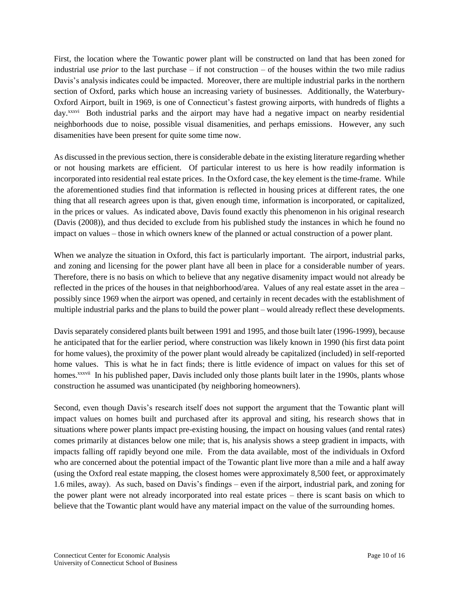First, the location where the Towantic power plant will be constructed on land that has been zoned for industrial use *prior* to the last purchase – if not construction – of the houses within the two mile radius Davis's analysis indicates could be impacted. Moreover, there are multiple industrial parks in the northern section of Oxford, parks which house an increasing variety of businesses. Additionally, the Waterbury-Oxford Airport, built in 1969, is one of Connecticut's fastest growing airports, with hundreds of flights a day.<sup>xxxvi</sup> Both industrial parks and the airport may have had a negative impact on nearby residential neighborhoods due to noise, possible visual disamenities, and perhaps emissions. However, any such disamenities have been present for quite some time now.

As discussed in the previous section, there is considerable debate in the existing literature regarding whether or not housing markets are efficient. Of particular interest to us here is how readily information is incorporated into residential real estate prices. In the Oxford case, the key element is the time-frame. While the aforementioned studies find that information is reflected in housing prices at different rates, the one thing that all research agrees upon is that, given enough time, information is incorporated, or capitalized, in the prices or values. As indicated above, Davis found exactly this phenomenon in his original research (Davis (2008)), and thus decided to exclude from his published study the instances in which he found no impact on values – those in which owners knew of the planned or actual construction of a power plant.

When we analyze the situation in Oxford, this fact is particularly important. The airport, industrial parks, and zoning and licensing for the power plant have all been in place for a considerable number of years. Therefore, there is no basis on which to believe that any negative disamenity impact would not already be reflected in the prices of the houses in that neighborhood/area. Values of any real estate asset in the area – possibly since 1969 when the airport was opened, and certainly in recent decades with the establishment of multiple industrial parks and the plans to build the power plant – would already reflect these developments.

Davis separately considered plants built between 1991 and 1995, and those built later (1996-1999), because he anticipated that for the earlier period, where construction was likely known in 1990 (his first data point for home values), the proximity of the power plant would already be capitalized (included) in self-reported home values. This is what he in fact finds; there is little evidence of impact on values for this set of homes.<sup>xxxvii</sup> In his published paper, Davis included only those plants built later in the 1990s, plants whose construction he assumed was unanticipated (by neighboring homeowners).

Second, even though Davis's research itself does not support the argument that the Towantic plant will impact values on homes built and purchased after its approval and siting, his research shows that in situations where power plants impact pre-existing housing, the impact on housing values (and rental rates) comes primarily at distances below one mile; that is, his analysis shows a steep gradient in impacts, with impacts falling off rapidly beyond one mile. From the data available, most of the individuals in Oxford who are concerned about the potential impact of the Towantic plant live more than a mile and a half away (using the Oxford real estate mapping, the closest homes were approximately 8,500 feet, or approximately 1.6 miles, away). As such, based on Davis's findings – even if the airport, industrial park, and zoning for the power plant were not already incorporated into real estate prices – there is scant basis on which to believe that the Towantic plant would have any material impact on the value of the surrounding homes.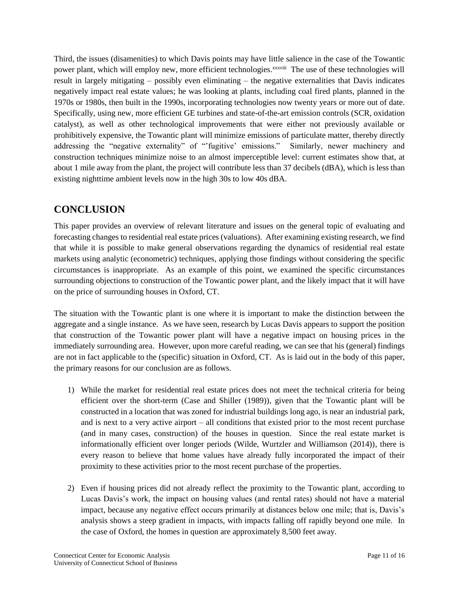Third, the issues (disamenities) to which Davis points may have little salience in the case of the Towantic power plant, which will employ new, more efficient technologies.<sup>xxxviii</sup> The use of these technologies will result in largely mitigating – possibly even eliminating – the negative externalities that Davis indicates negatively impact real estate values; he was looking at plants, including coal fired plants, planned in the 1970s or 1980s, then built in the 1990s, incorporating technologies now twenty years or more out of date. Specifically, using new, more efficient GE turbines and state-of-the-art emission controls (SCR, oxidation catalyst), as well as other technological improvements that were either not previously available or prohibitively expensive, the Towantic plant will minimize emissions of particulate matter, thereby directly addressing the "negative externality" of "'fugitive' emissions." Similarly, newer machinery and construction techniques minimize noise to an almost imperceptible level: current estimates show that, at about 1 mile away from the plant, the project will contribute less than 37 decibels (dBA), which is less than existing nighttime ambient levels now in the high 30s to low 40s dBA.

## <span id="page-10-0"></span>**CONCLUSION**

This paper provides an overview of relevant literature and issues on the general topic of evaluating and forecasting changes to residential real estate prices (valuations). After examining existing research, we find that while it is possible to make general observations regarding the dynamics of residential real estate markets using analytic (econometric) techniques, applying those findings without considering the specific circumstances is inappropriate. As an example of this point, we examined the specific circumstances surrounding objections to construction of the Towantic power plant, and the likely impact that it will have on the price of surrounding houses in Oxford, CT.

The situation with the Towantic plant is one where it is important to make the distinction between the aggregate and a single instance. As we have seen, research by Lucas Davis appears to support the position that construction of the Towantic power plant will have a negative impact on housing prices in the immediately surrounding area. However, upon more careful reading, we can see that his (general) findings are not in fact applicable to the (specific) situation in Oxford, CT. As is laid out in the body of this paper, the primary reasons for our conclusion are as follows.

- 1) While the market for residential real estate prices does not meet the technical criteria for being efficient over the short-term (Case and Shiller (1989)), given that the Towantic plant will be constructed in a location that was zoned for industrial buildings long ago, is near an industrial park, and is next to a very active airport – all conditions that existed prior to the most recent purchase (and in many cases, construction) of the houses in question. Since the real estate market is informationally efficient over longer periods (Wilde, Wurtzler and Williamson (2014)), there is every reason to believe that home values have already fully incorporated the impact of their proximity to these activities prior to the most recent purchase of the properties.
- 2) Even if housing prices did not already reflect the proximity to the Towantic plant, according to Lucas Davis's work, the impact on housing values (and rental rates) should not have a material impact, because any negative effect occurs primarily at distances below one mile; that is, Davis's analysis shows a steep gradient in impacts, with impacts falling off rapidly beyond one mile. In the case of Oxford, the homes in question are approximately 8,500 feet away.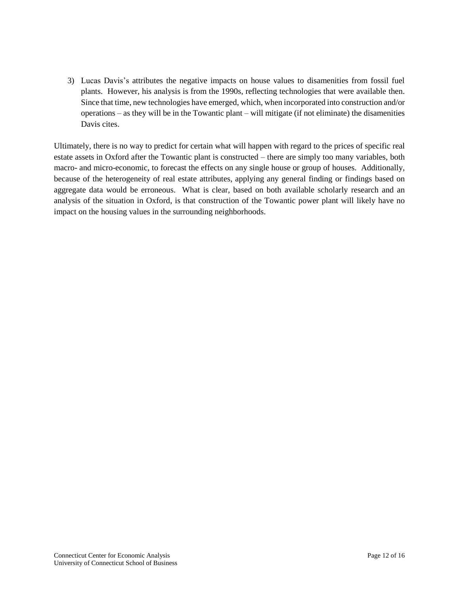3) Lucas Davis's attributes the negative impacts on house values to disamenities from fossil fuel plants. However, his analysis is from the 1990s, reflecting technologies that were available then. Since that time, new technologies have emerged, which, when incorporated into construction and/or operations – as they will be in the Towantic plant – will mitigate (if not eliminate) the disamenities Davis cites.

Ultimately, there is no way to predict for certain what will happen with regard to the prices of specific real estate assets in Oxford after the Towantic plant is constructed – there are simply too many variables, both macro- and micro-economic, to forecast the effects on any single house or group of houses. Additionally, because of the heterogeneity of real estate attributes, applying any general finding or findings based on aggregate data would be erroneous. What is clear, based on both available scholarly research and an analysis of the situation in Oxford, is that construction of the Towantic power plant will likely have no impact on the housing values in the surrounding neighborhoods.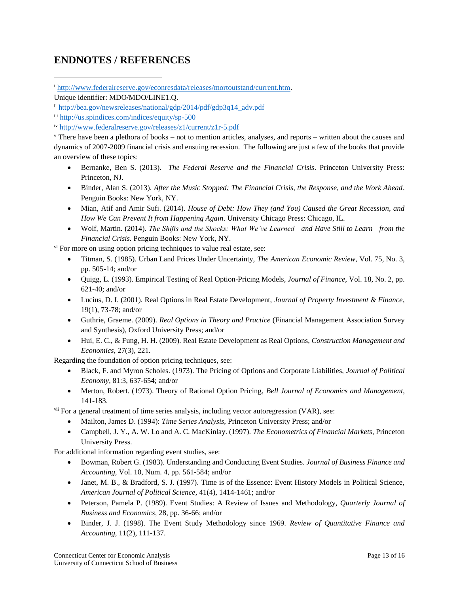# <span id="page-12-0"></span>**ENDNOTES / REFERENCES**

<sup>i</sup> [http://www.federalreserve.gov/econresdata/releases/mortoutstand/current.htm.](http://www.federalreserve.gov/econresdata/releases/mortoutstand/current.htm)

l

 $\gamma$  There have been a plethora of books – not to mention articles, analyses, and reports – written about the causes and dynamics of 2007-2009 financial crisis and ensuing recession. The following are just a few of the books that provide an overview of these topics:

- Bernanke, Ben S. (2013). *The Federal Reserve and the Financial Crisis*. Princeton University Press: Princeton, NJ.
- Binder, Alan S. (2013). *After the Music Stopped: The Financial Crisis, the Response, and the Work Ahead*. Penguin Books: New York, NY.
- Mian, Atif and Amir Sufi. (2014). *House of Debt: How They (and You) Caused the Great Recession, and How We Can Prevent It from Happening Again*. University Chicago Press: Chicago, IL.
- Wolf, Martin. (2014). *The Shifts and the Shocks: What We've Learned—and Have Still to Learn—from the Financial Crisis*. Penguin Books: New York, NY.

 $\gamma$ <sup>i</sup> For more on using option pricing techniques to value real estate, see:

- Titman, S. (1985). Urban Land Prices Under Uncertainty, *The American Economic Review*, Vol. 75, No. 3, pp. 505-14; and/or
- Quigg, L. (1993). Empirical Testing of Real Option-Pricing Models, *Journal of Finance*, Vol. 18, No. 2, pp. 621-40; and/or
- Lucius, D. I. (2001). Real Options in Real Estate Development, *Journal of Property Investment & Finance*, 19(1), 73-78; and/or
- Guthrie, Graeme. (2009). *Real Options in Theory and Practice* (Financial Management Association Survey and Synthesis), Oxford University Press; and/or
- Hui, E. C., & Fung, H. H. (2009). Real Estate Development as Real Options, *Construction Management and Economics*, 27(3), 221.

Regarding the foundation of option pricing techniques, see:

- Black, F. and Myron Scholes. (1973). The Pricing of Options and Corporate Liabilities, *Journal of Political Economy*, 81:3, 637-654; and/or
- Merton, Robert. (1973). Theory of Rational Option Pricing, *Bell Journal of Economics and Management*, 141-183.

vii For a general treatment of time series analysis, including vector autoregression (VAR), see:

- Mailton, James D. (1994): *Time Series Analysis*, Princeton University Press; and/or
- Campbell, J. Y., A. W. Lo and A. C. MacKinlay. (1997). *The Econometrics of Financial Markets*, Princeton University Press.

For additional information regarding event studies, see:

- Bowman, Robert G. (1983). Understanding and Conducting Event Studies. *Journal of Business Finance and Accounting*, Vol. 10, Num. 4, pp. 561-584; and/or
- Janet, M. B., & Bradford, S. J. (1997). Time is of the Essence: Event History Models in Political Science, *American Journal of Political Science*, 41(4), 1414-1461; and/or
- Peterson, Pamela P. (1989). Event Studies: A Review of Issues and Methodology, *Quarterly Journal of Business and Economics*, 28, pp. 36-66; and/or
- Binder, J. J. (1998). The Event Study Methodology since 1969. *Review of Quantitative Finance and Accounting*, 11(2), 111-137.

Unique identifier: MDO/MDO/LINE1.Q.

ii [http://bea.gov/newsreleases/national/gdp/2014/pdf/gdp3q14\\_adv.pdf](http://bea.gov/newsreleases/national/gdp/2014/pdf/gdp3q14_adv.pdf)

iii <http://us.spindices.com/indices/equity/sp-500>

iv <http://www.federalreserve.gov/releases/z1/current/z1r-5.pdf>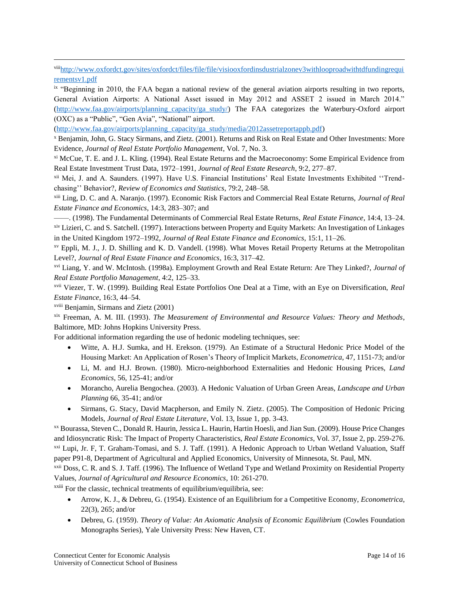viii[http://www.oxfordct.gov/sites/oxfordct/files/file/file/visiooxfordinsdustrialzonev3withlooproadwithtdfundingrequi](http://www.oxfordct.gov/sites/oxfordct/files/file/file/visiooxfordinsdustrialzonev3withlooproadwithtdfundingrequirementsv1.pdf) [rementsv1.pdf](http://www.oxfordct.gov/sites/oxfordct/files/file/file/visiooxfordinsdustrialzonev3withlooproadwithtdfundingrequirementsv1.pdf)

ix "Beginning in 2010, the FAA began a national review of the general aviation airports resulting in two reports, General Aviation Airports: A National Asset issued in May 2012 and ASSET 2 issued in March 2014." [\(http://www.faa.gov/airports/planning\\_capacity/ga\\_study/\)](http://www.faa.gov/airports/planning_capacity/ga_study/) The FAA categorizes the Waterbury-Oxford airport (OXC) as a "Public", "Gen Avia", "National" airport.

[\(http://www.faa.gov/airports/planning\\_capacity/ga\\_study/media/2012assetreportappb.pdf\)](http://www.faa.gov/airports/planning_capacity/ga_study/media/2012assetreportappb.pdf)

<sup>x</sup> Benjamin, John, G. Stacy Sirmans, and Zietz. (2001). Returns and Risk on Real Estate and Other Investments: More Evidence, *Journal of Real Estate Portfolio Management*, Vol. 7, No. 3.

xi McCue, T. E. and J. L. Kling. (1994). Real Estate Returns and the Macroeconomy: Some Empirical Evidence from Real Estate Investment Trust Data, 1972–1991, *Journal of Real Estate Research*, 9:2, 277–87.

xii Mei, J. and A. Saunders. (1997). Have U.S. Financial Institutions' Real Estate Investments Exhibited ''Trendchasing'' Behavior?, *Review of Economics and Statistics*, 79:2, 248–58.

xiii Ling, D. C. and A. Naranjo. (1997). Economic Risk Factors and Commercial Real Estate Returns, *Journal of Real Estate Finance and Economics*, 14:3, 283–307; and

——. (1998). The Fundamental Determinants of Commercial Real Estate Returns, *Real Estate Finance*, 14:4, 13–24. xiv Lizieri, C. and S. Satchell. (1997). Interactions between Property and Equity Markets: An Investigation of Linkages in the United Kingdom 1972–1992, *Journal of Real Estate Finance and Economics*, 15:1, 11–26.

xv Eppli, M. J., J. D. Shilling and K. D. Vandell. (1998). What Moves Retail Property Returns at the Metropolitan Level?, *Journal of Real Estate Finance and Economics*, 16:3, 317–42.

xvi Liang, Y. and W. McIntosh. (1998a). Employment Growth and Real Estate Return: Are They Linked?, *Journal of Real Estate Portfolio Management*, 4:2, 125–33.

xvii Viezer, T. W. (1999). Building Real Estate Portfolios One Deal at a Time, with an Eye on Diversification, *Real Estate Finance*, 16:3, 44–54.

xviii Benjamin, Sirmans and Zietz (2001)

l

xix Freeman, A. M. III. (1993). *The Measurement of Environmental and Resource Values: Theory and Methods*, Baltimore, MD: Johns Hopkins University Press.

For additional information regarding the use of hedonic modeling techniques, see:

- Witte, A. H.J. Sumka, and H. Erekson. (1979). An Estimate of a Structural Hedonic Price Model of the Housing Market: An Application of Rosen's Theory of Implicit Markets, *Econometrica*, 47, 1151-73; and/or
- Li, M. and H.J. Brown. (1980). Micro-neighborhood Externalities and Hedonic Housing Prices, *Land Economics*, 56, 125-41; and/or
- Morancho, Aurelia Bengochea. (2003). A Hedonic Valuation of Urban Green Areas, *Landscape and Urban Planning* 66, 35-41; and/or
- Sirmans, G. Stacy, David Macpherson, and Emily N. Zietz. (2005). The Composition of Hedonic Pricing Models, *Journal of Real Estate Literature*, Vol. 13, Issue 1, pp. 3-43.

xx Bourassa, Steven C., Donald R. Haurin, Jessica L. Haurin, Hartin Hoesli, and Jian Sun. (2009). House Price Changes and Idiosyncratic Risk: The Impact of Property Characteristics, *Real Estate Economics*, Vol. 37, Issue 2, pp. 259-276. xxi Lupi, Jr. F, T. Graham-Tomasi, and S. J. Taff. (1991). A Hedonic Approach to Urban Wetland Valuation, Staff paper P91-8, Department of Agricultural and Applied Economics, University of Minnesota, St. Paul, MN.

xxii Doss, C. R. and S. J. Taff. (1996). The Influence of Wetland Type and Wetland Proximity on Residential Property Values, *Journal of Agricultural and Resource Economics*, 10: 261-270.

<sup>xxiii</sup> For the classic, technical treatments of equilibrium/equilibria, see:

- Arrow, K. J., & Debreu, G. (1954). Existence of an Equilibrium for a Competitive Economy, *Econometrica*, 22(3), 265; and/or
- Debreu, G. (1959). *Theory of Value: An Axiomatic Analysis of Economic Equilibrium* (Cowles Foundation Monographs Series), Yale University Press: New Haven, CT.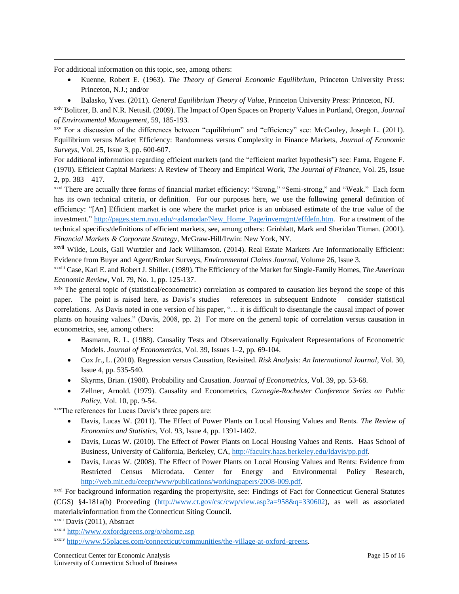For additional information on this topic, see, among others:

l

- Kuenne, Robert E. (1963). *The Theory of General Economic Equilibrium*, Princeton University Press: Princeton, N.J.; and/or
- Balasko, Yves. (2011). *General Equilibrium Theory of Value*, Princeton University Press: Princeton, NJ.

xxiv Bolitzer, B. and N.R. Netusil. (2009). The Impact of Open Spaces on Property Values in Portland, Oregon, *Journal of Environmental Management*, 59, 185-193.

xxv For a discussion of the differences between "equilibrium" and "efficiency" see: McCauley, Joseph L. (2011). Equilibrium versus Market Efficiency: Randomness versus Complexity in Finance Markets, *Journal of Economic Surveys*, Vol. 25, Issue 3, pp. 600-607.

For additional information regarding efficient markets (and the "efficient market hypothesis") see: Fama, Eugene F. (1970). Efficient Capital Markets: A Review of Theory and Empirical Work, *The Journal of Finance*, Vol. 25, Issue 2, pp. 383 – 417.

xxvi There are actually three forms of financial market efficiency: "Strong," "Semi-strong," and "Weak." Each form has its own technical criteria, or definition. For our purposes here, we use the following general definition of efficiency: "[An] Efficient market is one where the market price is an unbiased estimate of the true value of the investment." [http://pages.stern.nyu.edu/~adamodar/New\\_Home\\_Page/invemgmt/effdefn.htm.](http://pages.stern.nyu.edu/~adamodar/New_Home_Page/invemgmt/effdefn.htm) For a treatment of the technical specifics/definitions of efficient markets, see, among others: Grinblatt, Mark and Sheridan Titman. (2001). *Financial Markets & Corporate Strategy*, McGraw-Hill/Irwin: New York, NY.

xxvii Wilde, Louis, Gail Wurtzler and Jack Williamson. (2014). Real Estate Markets Are Informationally Efficient: Evidence from Buyer and Agent/Broker Surveys, *Environmental Claims Journal*, Volume 26, Issue 3.

xxviii Case, Karl E. and Robert J. Shiller. (1989). The Efficiency of the Market for Single-Family Homes, *The American Economic Review*, Vol. 79, No. 1, pp. 125-137.

 $\frac{x}{x}$  The general topic of (statistical/econometric) correlation as compared to causation lies beyond the scope of this paper. The point is raised here, as Davis's studies – references in subsequent Endnote – consider statistical correlations. As Davis noted in one version of his paper, "… it is difficult to disentangle the causal impact of power plants on housing values." (Davis, 2008, pp. 2) For more on the general topic of correlation versus causation in econometrics, see, among others:

- Basmann, R. L. (1988). Causality Tests and Observationally Equivalent Representations of Econometric Models. *Journal of Econometrics*, Vol. 39, Issues 1–2, pp. 69-104.
- Cox Jr., L. (2010). Regression versus Causation, Revisited. *Risk Analysis: An International Journal*, Vol. 30, Issue 4, pp. 535-540.
- Skyrms, Brian. (1988). Probability and Causation. *Journal of Econometrics*, Vol. 39, pp. 53-68.
- Zellner, Arnold. (1979). Causality and Econometrics, *Carnegie-Rochester Conference Series on Public Policy*, Vol. 10, pp. 9-54.

xxxThe references for Lucas Davis's three papers are:

- Davis, Lucas W. (2011). The Effect of Power Plants on Local Housing Values and Rents. *The Review of Economics and Statistics*, Vol. 93, Issue 4, pp. 1391-1402.
- Davis, Lucas W. (2010). The Effect of Power Plants on Local Housing Values and Rents. Haas School of Business, University of California, Berkeley, CA, [http://faculty.haas.berkeley.edu/ldavis/pp.pdf.](http://faculty.haas.berkeley.edu/ldavis/pp.pdf)
- Davis, Lucas W. (2008). The Effect of Power Plants on Local Housing Values and Rents: Evidence from Restricted Census Microdata. Center for Energy and Environmental Policy Research, [http://web.mit.edu/ceepr/www/publications/workingpapers/2008-009.pdf.](http://web.mit.edu/ceepr/www/publications/workingpapers/2008-009.pdf)

xxxi For background information regarding the property/site, see: Findings of Fact for Connecticut General Statutes (CGS) §4-181a(b) Proceeding [\(http://www.ct.gov/csc/cwp/view.asp?a=958&q=330602\)](http://www.ct.gov/csc/cwp/view.asp?a=958&q=330602), as well as associated materials/information from the Connecticut Siting Council.

xxxii Davis (2011), Abstract

xxxiii <http://www.oxfordgreens.org/o/ohome.asp>

xxxiv [http://www.55places.com/connecticut/communities/the-village-at-oxford-greens.](http://www.55places.com/connecticut/communities/the-village-at-oxford-greens)